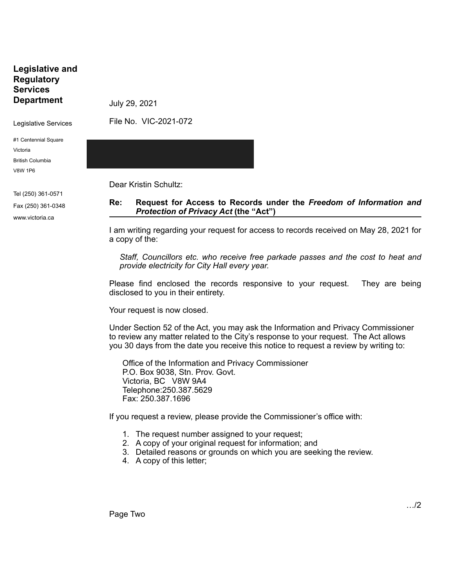**Legislative and Regulatory Services Department**

July 29, 2021

Legislative Services

File No. VIC-2021-072

#1 Centennial Square Victoria

British Columbia V8W 1P6

Tel (250) 361-0571 Fax (250) 361-0348 www.victoria.ca

Dear Kristin Schultz:

#### **Re: Request for Access to Records under the** *Freedom of Information and Protection of Privacy Act* **(the "Act")**

I am writing regarding your request for access to records received on May 28, 2021 for a copy of the:

*Staff, Councillors etc. who receive free parkade passes and the cost to heat and provide electricity for City Hall every year.*

Please find enclosed the records responsive to your request. They are being disclosed to you in their entirety.

Your request is now closed.

Under Section 52 of the Act, you may ask the Information and Privacy Commissioner to review any matter related to the City's response to your request. The Act allows you 30 days from the date you receive this notice to request a review by writing to:

Office of the Information and Privacy Commissioner P.O. Box 9038, Stn. Prov. Govt. Victoria, BC V8W 9A4 Telephone:250.387.5629 Fax: 250.387.1696

If you request a review, please provide the Commissioner's office with:

- 1. The request number assigned to your request;
- 2. A copy of your original request for information; and
- 3. Detailed reasons or grounds on which you are seeking the review.
- 4. A copy of this letter;

Page Two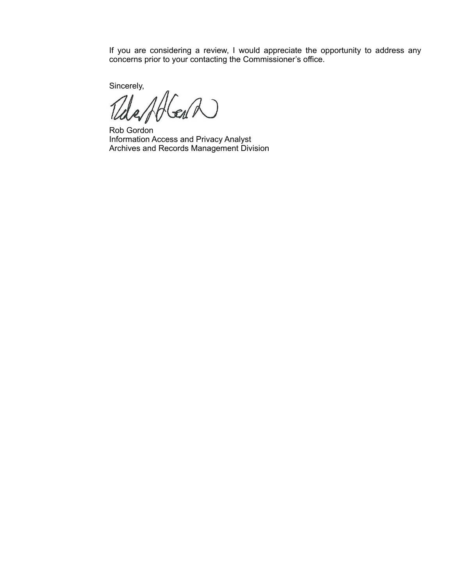If you are considering a review, I would appreciate the opportunity to address any concerns prior to your contacting the Commissioner's office.

Sincerely,

EIN  $\Delta$ 

Rob Gordon Information Access and Privacy Analyst Archives and Records Management Division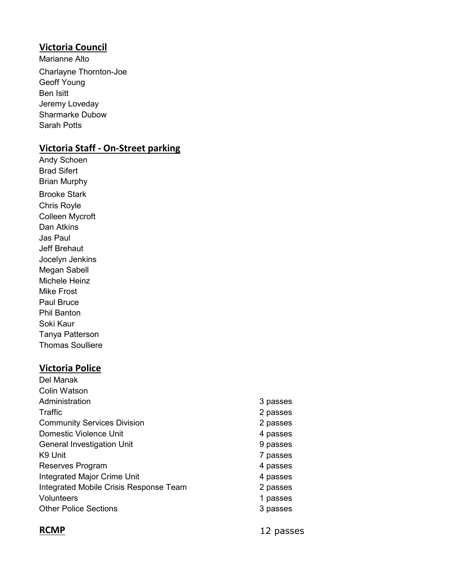#### **Victoria Council**

Marianne Alto Charlayne Thornton-Joe Geoff Young Ben Isitt Jeremy Loveday Sharmarke Dubow Sarah Potts

## **Victoria Staff - On-Street parking**

Andy Schoen Brad Sifert Brian Murphy Brooke Stark Chris Royle Colleen Mycroft Dan Atkins Jas Paul Jeff Brehaut Jocelyn Jenkins Megan Sabell Michele Heinz Mike Frost Paul Bruce Phil Banton Soki Kaur Tanya Patterson Thomas Soulliere

### **Victoria Police**

| Del Manak                              |          |
|----------------------------------------|----------|
| Colin Watson                           |          |
| Administration                         | 3 passes |
| Traffic                                | 2 passes |
| <b>Community Services Division</b>     | 2 passes |
| Domestic Violence Unit                 | 4 passes |
| <b>General Investigation Unit</b>      | 9 passes |
| K9 Unit                                | 7 passes |
| Reserves Program                       | 4 passes |
| <b>Integrated Major Crime Unit</b>     | 4 passes |
| Integrated Mobile Crisis Response Team | 2 passes |
| <b>Volunteers</b>                      | 1 passes |
| <b>Other Police Sections</b>           | 3 passes |
|                                        |          |

**RCMP** 12 passes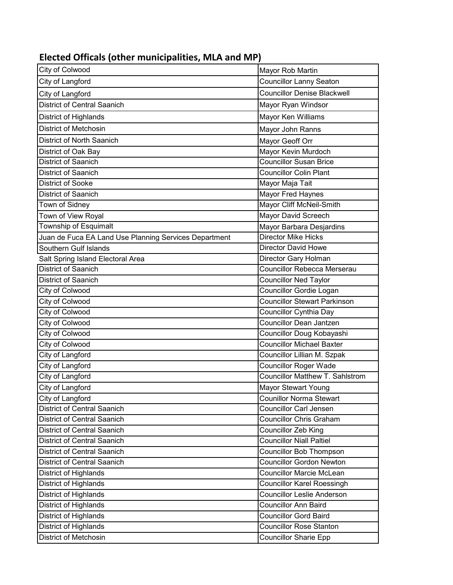# **Elected Officals (other municipalities, MLA and MP)**

| City of Colwood                                       | Mayor Rob Martin                       |
|-------------------------------------------------------|----------------------------------------|
| City of Langford                                      | <b>Councillor Lanny Seaton</b>         |
| City of Langford                                      | <b>Councillor Denise Blackwell</b>     |
| <b>District of Central Saanich</b>                    | Mayor Ryan Windsor                     |
| District of Highlands                                 | Mayor Ken Williams                     |
| <b>District of Metchosin</b>                          | Mayor John Ranns                       |
| District of North Saanich                             | Mayor Geoff Orr                        |
| District of Oak Bay                                   | Mayor Kevin Murdoch                    |
| District of Saanich                                   | <b>Councillor Susan Brice</b>          |
| District of Saanich                                   | <b>Councillor Colin Plant</b>          |
| <b>District of Sooke</b>                              | Mayor Maja Tait                        |
| <b>District of Saanich</b>                            | Mayor Fred Haynes                      |
| Town of Sidney                                        | Mayor Cliff McNeil-Smith               |
| Town of View Royal                                    | Mayor David Screech                    |
| Township of Esquimalt                                 | Mayor Barbara Desjardins               |
| Juan de Fuca EA Land Use Planning Services Department | <b>Director Mike Hicks</b>             |
| Southern Gulf Islands                                 | <b>Director David Howe</b>             |
| Salt Spring Island Electoral Area                     | Director Gary Holman                   |
| <b>District of Saanich</b>                            | <b>Councillor Rebecca Merserau</b>     |
| District of Saanich                                   | <b>Councillor Ned Taylor</b>           |
| City of Colwood                                       | Councillor Gordie Logan                |
| City of Colwood                                       | <b>Councillor Stewart Parkinson</b>    |
| City of Colwood                                       | <b>Councillor Cynthia Day</b>          |
| <b>City of Colwood</b>                                | <b>Councillor Dean Jantzen</b>         |
| City of Colwood                                       | Councillor Doug Kobayashi              |
| City of Colwood                                       | <b>Councillor Michael Baxter</b>       |
| <b>City of Langford</b>                               | Councillor Lillian M. Szpak            |
| City of Langford                                      | <b>Councillor Roger Wade</b>           |
| <b>City of Langford</b>                               | <b>Councillor Matthew T. Sahlstrom</b> |
| City of Langford                                      | Mayor Stewart Young                    |
| City of Langford                                      | <b>Counillor Norma Stewart</b>         |
| District of Central Saanich                           | <b>Councillor Carl Jensen</b>          |
| <b>District of Central Saanich</b>                    | <b>Councillor Chris Graham</b>         |
| <b>District of Central Saanich</b>                    | <b>Councillor Zeb King</b>             |
| District of Central Saanich                           | <b>Councillor Niall Paltiel</b>        |
| <b>District of Central Saanich</b>                    | Councillor Bob Thompson                |
| <b>District of Central Saanich</b>                    | <b>Councillor Gordon Newton</b>        |
| District of Highlands                                 | <b>Councillor Marcie McLean</b>        |
| District of Highlands                                 | <b>Councillor Karel Roessingh</b>      |
| District of Highlands                                 | <b>Councillor Leslie Anderson</b>      |
| District of Highlands                                 | <b>Councillor Ann Baird</b>            |
| <b>District of Highlands</b>                          | <b>Councillor Gord Baird</b>           |
| District of Highlands                                 | <b>Councillor Rose Stanton</b>         |
| <b>District of Metchosin</b>                          | <b>Councillor Sharie Epp</b>           |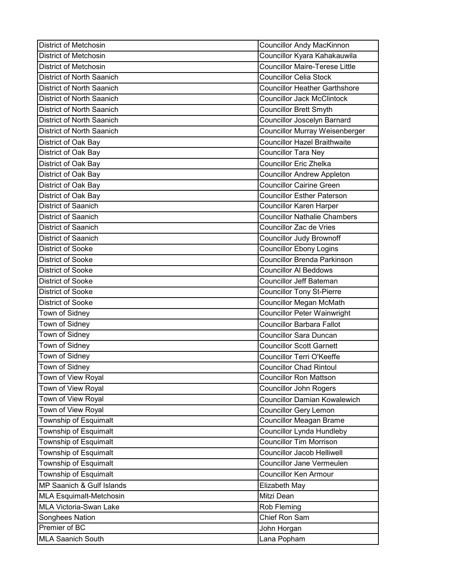| <b>District of Metchosin</b>     | <b>Councillor Andy MacKinnon</b>      |
|----------------------------------|---------------------------------------|
| <b>District of Metchosin</b>     | Councillor Kyara Kahakauwila          |
| <b>District of Metchosin</b>     | <b>Councillor Maire-Terese Little</b> |
| District of North Saanich        | <b>Councillor Celia Stock</b>         |
| <b>District of North Saanich</b> | <b>Councillor Heather Garthshore</b>  |
| District of North Saanich        | <b>Councillor Jack McClintock</b>     |
| District of North Saanich        | <b>Councillor Brett Smyth</b>         |
| District of North Saanich        | Councillor Joscelyn Barnard           |
| District of North Saanich        | <b>Councillor Murray Weisenberger</b> |
| District of Oak Bay              | <b>Councillor Hazel Braithwaite</b>   |
| District of Oak Bay              | <b>Councillor Tara Ney</b>            |
| District of Oak Bay              | <b>Councillor Eric Zhelka</b>         |
| District of Oak Bay              | <b>Councillor Andrew Appleton</b>     |
| District of Oak Bay              | <b>Councillor Cairine Green</b>       |
| District of Oak Bay              | <b>Councillor Esther Paterson</b>     |
| <b>District of Saanich</b>       | Councillor Karen Harper               |
| <b>District of Saanich</b>       | <b>Councillor Nathalie Chambers</b>   |
| <b>District of Saanich</b>       | <b>Councillor Zac de Vries</b>        |
| District of Saanich              | <b>Councillor Judy Brownoff</b>       |
| <b>District of Sooke</b>         | <b>Councillor Ebony Logins</b>        |
| <b>District of Sooke</b>         | <b>Councillor Brenda Parkinson</b>    |
| <b>District of Sooke</b>         | <b>Councillor Al Beddows</b>          |
| District of Sooke                | Councillor Jeff Bateman               |
| <b>District of Sooke</b>         | <b>Councillor Tony St-Pierre</b>      |
| <b>District of Sooke</b>         | <b>Councillor Megan McMath</b>        |
| Town of Sidney                   | <b>Councillor Peter Wainwright</b>    |
| Town of Sidney                   | <b>Councillor Barbara Fallot</b>      |
| Town of Sidney                   | <b>Councillor Sara Duncan</b>         |
| Town of Sidney                   | <b>Councillor Scott Garnett</b>       |
| Town of Sidney                   | <b>Councillor Terri O'Keeffe</b>      |
| Town of Sidney                   | <b>Councillor Chad Rintoul</b>        |
| Town of View Royal               | <b>Councillor Ron Mattson</b>         |
| Town of View Royal               | <b>Councillor John Rogers</b>         |
| Town of View Royal               | <b>Councillor Damian Kowalewich</b>   |
| Town of View Royal               | <b>Councillor Gery Lemon</b>          |
| Township of Esquimalt            | <b>Councillor Meagan Brame</b>        |
| Township of Esquimalt            | Councillor Lynda Hundleby             |
| Township of Esquimalt            | <b>Councillor Tim Morrison</b>        |
| Township of Esquimalt            | <b>Councillor Jacob Helliwell</b>     |
| Township of Esquimalt            | Councillor Jane Vermeulen             |
| Township of Esquimalt            | <b>Councillor Ken Armour</b>          |
| MP Saanich & Gulf Islands        | Elizabeth May                         |
| <b>MLA Esquimalt-Metchosin</b>   | Mitzi Dean                            |
| MLA Victoria-Swan Lake           | Rob Fleming                           |
| Songhees Nation                  | Chief Ron Sam                         |
| Premier of BC                    | John Horgan                           |
| <b>MLA Saanich South</b>         | Lana Popham                           |